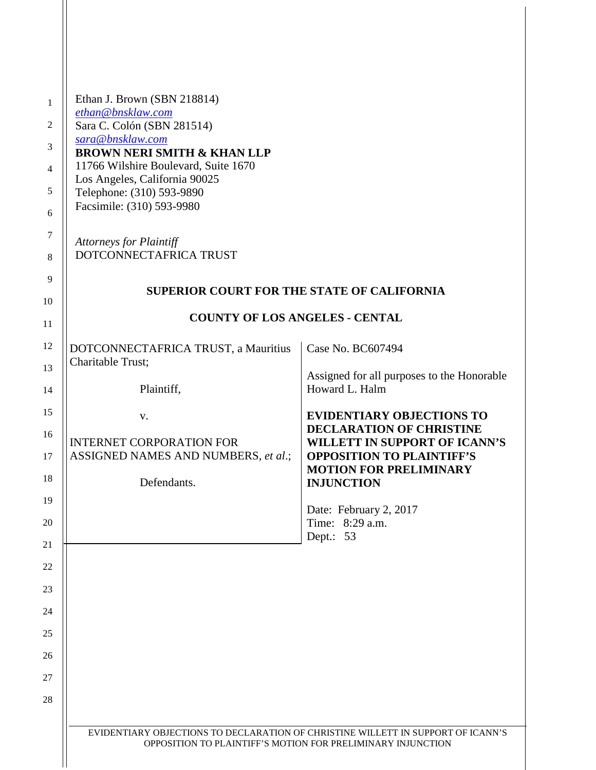| 1              | Ethan J. Brown (SBN 218814)                                                                                                                     |                                                                         |
|----------------|-------------------------------------------------------------------------------------------------------------------------------------------------|-------------------------------------------------------------------------|
| $\overline{2}$ | ethan@bnsklaw.com<br>Sara C. Colón (SBN 281514)                                                                                                 |                                                                         |
| 3              | sara@bnsklaw.com<br><b>BROWN NERI SMITH &amp; KHAN LLP</b>                                                                                      |                                                                         |
| $\overline{4}$ | 11766 Wilshire Boulevard, Suite 1670                                                                                                            |                                                                         |
| 5              | Los Angeles, California 90025<br>Telephone: (310) 593-9890                                                                                      |                                                                         |
| 6              | Facsimile: (310) 593-9980                                                                                                                       |                                                                         |
| $\tau$<br>8    | <b>Attorneys for Plaintiff</b><br>DOTCONNECTAFRICA TRUST                                                                                        |                                                                         |
| 9              | <b>SUPERIOR COURT FOR THE STATE OF CALIFORNIA</b>                                                                                               |                                                                         |
| 10<br>11       | <b>COUNTY OF LOS ANGELES - CENTAL</b>                                                                                                           |                                                                         |
| 12             | DOTCONNECTAFRICA TRUST, a Mauritius                                                                                                             | Case No. BC607494                                                       |
| 13             | Charitable Trust;                                                                                                                               |                                                                         |
| 14             | Plaintiff,                                                                                                                                      | Assigned for all purposes to the Honorable<br>Howard L. Halm            |
| 15             | V.                                                                                                                                              | <b>EVIDENTIARY OBJECTIONS TO</b>                                        |
| 16             | <b>INTERNET CORPORATION FOR</b>                                                                                                                 | <b>DECLARATION OF CHRISTINE</b><br><b>WILLETT IN SUPPORT OF ICANN'S</b> |
| 17             | ASSIGNED NAMES AND NUMBERS, et al.;                                                                                                             | <b>OPPOSITION TO PLAINTIFF'S</b>                                        |
| 18             | Defendants.                                                                                                                                     | <b>MOTION FOR PRELIMINARY</b><br><b>INJUNCTION</b>                      |
| 19             |                                                                                                                                                 | Date: February 2, 2017                                                  |
| 20             |                                                                                                                                                 | Time: 8:29 a.m.                                                         |
| 21             |                                                                                                                                                 | Dept.: 53                                                               |
| 22             |                                                                                                                                                 |                                                                         |
| 23             |                                                                                                                                                 |                                                                         |
| 24             |                                                                                                                                                 |                                                                         |
| 25             |                                                                                                                                                 |                                                                         |
| 26             |                                                                                                                                                 |                                                                         |
| 27             |                                                                                                                                                 |                                                                         |
| 28             |                                                                                                                                                 |                                                                         |
|                | EVIDENTIARY OBJECTIONS TO DECLARATION OF CHRISTINE WILLETT IN SUPPORT OF ICANN'S<br>OPPOSITION TO PLAINTIFF'S MOTION FOR PRELIMINARY INJUNCTION |                                                                         |

 $\mathsf{II}$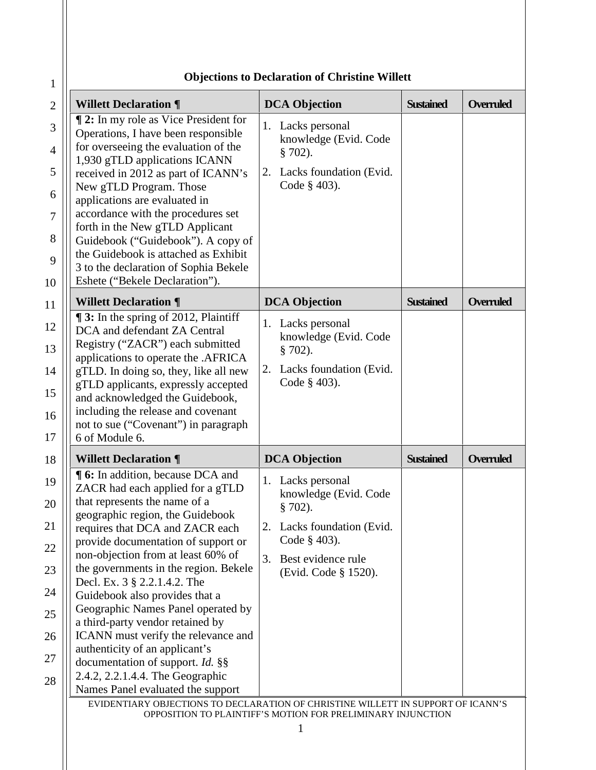| <b>Willett Declaration ¶</b>                                                                                                                                                                                                                                                                                                                                                                                                                                                                                                                                                                                                                | <b>DCA Objection</b>                                                                                                                                          | <b>Sustained</b> | Overruled        |
|---------------------------------------------------------------------------------------------------------------------------------------------------------------------------------------------------------------------------------------------------------------------------------------------------------------------------------------------------------------------------------------------------------------------------------------------------------------------------------------------------------------------------------------------------------------------------------------------------------------------------------------------|---------------------------------------------------------------------------------------------------------------------------------------------------------------|------------------|------------------|
| <b>12:</b> In my role as Vice President for<br>Operations, I have been responsible<br>for overseeing the evaluation of the<br>1,930 gTLD applications ICANN<br>received in 2012 as part of ICANN's<br>New gTLD Program. Those<br>applications are evaluated in<br>accordance with the procedures set<br>forth in the New gTLD Applicant<br>Guidebook ("Guidebook"). A copy of<br>the Guidebook is attached as Exhibit<br>3 to the declaration of Sophia Bekele<br>Eshete ("Bekele Declaration").                                                                                                                                            | 1. Lacks personal<br>knowledge (Evid. Code<br>$§ 702$ ).<br>Lacks foundation (Evid.<br>2.<br>Code $\S$ 403).                                                  |                  |                  |
| <b>Willett Declaration ¶</b>                                                                                                                                                                                                                                                                                                                                                                                                                                                                                                                                                                                                                | <b>DCA Objection</b>                                                                                                                                          | <b>Sustained</b> | <b>Overruled</b> |
| <b>13:</b> In the spring of 2012, Plaintiff<br>DCA and defendant ZA Central<br>Registry ("ZACR") each submitted<br>applications to operate the .AFRICA<br>gTLD. In doing so, they, like all new<br>gTLD applicants, expressly accepted<br>and acknowledged the Guidebook,<br>including the release and covenant<br>not to sue ("Covenant") in paragraph<br>6 of Module 6.                                                                                                                                                                                                                                                                   | Lacks personal<br>1.<br>knowledge (Evid. Code<br>$§ 702$ ).<br>Lacks foundation (Evid.<br>2.<br>Code § 403).                                                  |                  |                  |
| <b>Willett Declaration ¶</b>                                                                                                                                                                                                                                                                                                                                                                                                                                                                                                                                                                                                                | <b>DCA Objection</b>                                                                                                                                          | <b>Sustained</b> | Overruled        |
| <b>16:</b> In addition, because DCA and<br>ZACR had each applied for a gTLD<br>that represents the name of a<br>geographic region, the Guidebook<br>requires that DCA and ZACR each<br>provide documentation of support or<br>non-objection from at least 60% of<br>the governments in the region. Bekele<br>Decl. Ex. 3 § 2.2.1.4.2. The<br>Guidebook also provides that a<br>Geographic Names Panel operated by<br>a third-party vendor retained by<br>ICANN must verify the relevance and<br>authenticity of an applicant's<br>documentation of support. Id. §§<br>2.4.2, 2.2.1.4.4. The Geographic<br>Names Panel evaluated the support | 1. Lacks personal<br>knowledge (Evid. Code<br>$§ 702$ ).<br>Lacks foundation (Evid.<br>2.<br>Code § 403).<br>3.<br>Best evidence rule<br>(Evid. Code § 1520). |                  |                  |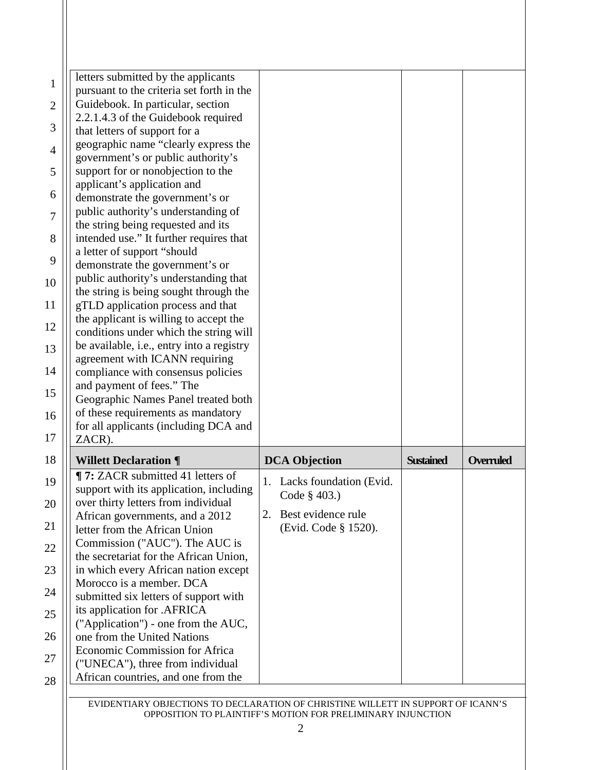|                | letters submitted by the applicants                                    |                                            |                  |           |
|----------------|------------------------------------------------------------------------|--------------------------------------------|------------------|-----------|
| 1              | pursuant to the criteria set forth in the                              |                                            |                  |           |
| $\overline{2}$ | Guidebook. In particular, section                                      |                                            |                  |           |
|                | 2.2.1.4.3 of the Guidebook required                                    |                                            |                  |           |
| 3              | that letters of support for a                                          |                                            |                  |           |
| $\overline{4}$ | geographic name "clearly express the                                   |                                            |                  |           |
|                | government's or public authority's                                     |                                            |                  |           |
| 5              | support for or nonobjection to the                                     |                                            |                  |           |
| 6              | applicant's application and                                            |                                            |                  |           |
|                | demonstrate the government's or                                        |                                            |                  |           |
| 7              | public authority's understanding of                                    |                                            |                  |           |
|                | the string being requested and its                                     |                                            |                  |           |
| 8              | intended use." It further requires that<br>a letter of support "should |                                            |                  |           |
| 9              | demonstrate the government's or                                        |                                            |                  |           |
|                | public authority's understanding that                                  |                                            |                  |           |
| 10             | the string is being sought through the                                 |                                            |                  |           |
| 11             | gTLD application process and that                                      |                                            |                  |           |
|                | the applicant is willing to accept the                                 |                                            |                  |           |
| 12             | conditions under which the string will                                 |                                            |                  |           |
| 13             | be available, i.e., entry into a registry                              |                                            |                  |           |
|                | agreement with ICANN requiring                                         |                                            |                  |           |
| 14             | compliance with consensus policies                                     |                                            |                  |           |
|                | and payment of fees." The                                              |                                            |                  |           |
| 15             | Geographic Names Panel treated both                                    |                                            |                  |           |
| 16             | of these requirements as mandatory                                     |                                            |                  |           |
|                | for all applicants (including DCA and                                  |                                            |                  |           |
| 17             | ZACR).                                                                 |                                            |                  |           |
| 18             | <b>Willett Declaration ¶</b>                                           | <b>DCA Objection</b>                       | <b>Sustained</b> | Overruled |
| 19             | <b>T:</b> ZACR submitted 41 letters of                                 |                                            |                  |           |
|                | support with its application, including                                | 1. Lacks foundation (Evid.<br>Code § 403.) |                  |           |
| 20             | over thirty letters from individual                                    |                                            |                  |           |
|                | African governments, and a 2012                                        | Best evidence rule<br>2.                   |                  |           |
| 21             | letter from the African Union                                          | (Evid. Code § 1520).                       |                  |           |
| 22             | Commission ("AUC"). The AUC is                                         |                                            |                  |           |
|                | the secretariat for the African Union,                                 |                                            |                  |           |
| 23             | in which every African nation except                                   |                                            |                  |           |
| 24             | Morocco is a member. DCA                                               |                                            |                  |           |
|                | submitted six letters of support with                                  |                                            |                  |           |
| 25             | its application for .AFRICA                                            |                                            |                  |           |
| 26             | ("Application") - one from the AUC,<br>one from the United Nations     |                                            |                  |           |
|                | Economic Commission for Africa                                         |                                            |                  |           |
| 27             | ("UNECA"), three from individual                                       |                                            |                  |           |
| 28             | African countries, and one from the                                    |                                            |                  |           |
|                |                                                                        |                                            |                  |           |

EVIDENTIARY OBJECTIONS TO DECLARATION OF CHRISTINE WILLETT IN SUPPORT OF ICANN'S OPPOSITION TO PLAINTIFF'S MOTION FOR PRELIMINARY INJUNCTION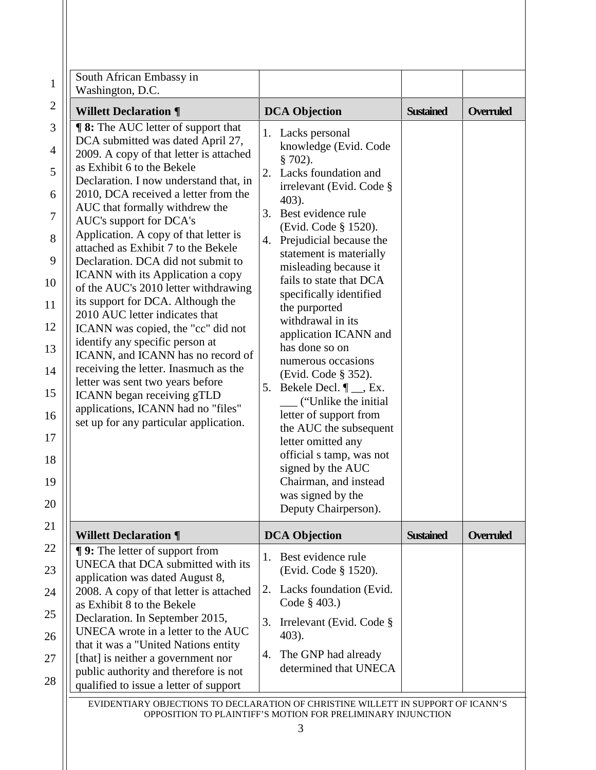| $\mathbf{1}$ | South African Embassy in<br>Washington, D.C.                                                                          |                                                                               |                  |                  |
|--------------|-----------------------------------------------------------------------------------------------------------------------|-------------------------------------------------------------------------------|------------------|------------------|
| 2            | <b>Willett Declaration ¶</b>                                                                                          | <b>DCA Objection</b>                                                          | <b>Sustained</b> | <b>Overruled</b> |
| 3            | <b>¶ 8:</b> The AUC letter of support that<br>DCA submitted was dated April 27,                                       | 1. Lacks personal                                                             |                  |                  |
| 4<br>5       | 2009. A copy of that letter is attached<br>as Exhibit 6 to the Bekele                                                 | knowledge (Evid. Code<br>$$702$ ).<br>Lacks foundation and<br>2.              |                  |                  |
| 6            | Declaration. I now understand that, in<br>2010, DCA received a letter from the                                        | irrelevant (Evid. Code §<br>403).                                             |                  |                  |
| 7            | AUC that formally withdrew the<br>AUC's support for DCA's                                                             | Best evidence rule<br>3.                                                      |                  |                  |
| 8            | Application. A copy of that letter is<br>attached as Exhibit 7 to the Bekele                                          | (Evid. Code § 1520).<br>4. Prejudicial because the<br>statement is materially |                  |                  |
| 9            | Declaration. DCA did not submit to<br><b>ICANN</b> with its Application a copy                                        | misleading because it<br>fails to state that DCA                              |                  |                  |
| 10<br>11     | of the AUC's 2010 letter withdrawing<br>its support for DCA. Although the                                             | specifically identified<br>the purported                                      |                  |                  |
| 12           | 2010 AUC letter indicates that<br>ICANN was copied, the "cc" did not                                                  | withdrawal in its<br>application ICANN and                                    |                  |                  |
| 13           | identify any specific person at<br>ICANN, and ICANN has no record of                                                  | has done so on<br>numerous occasions                                          |                  |                  |
| 14           | receiving the letter. Inasmuch as the<br>letter was sent two years before                                             | (Evid. Code § 352).<br>5. Bekele Decl. $\P$ <sub>__</sub> , Ex.               |                  |                  |
| 15<br>16     | ICANN began receiving gTLD<br>applications, ICANN had no "files"                                                      | ("Unlike the initial")<br>letter of support from                              |                  |                  |
| 17           | set up for any particular application.                                                                                | the AUC the subsequent<br>letter omitted any                                  |                  |                  |
| 18           |                                                                                                                       | official s tamp, was not<br>signed by the AUC                                 |                  |                  |
| 19           |                                                                                                                       | Chairman, and instead<br>was signed by the                                    |                  |                  |
| 20           |                                                                                                                       | Deputy Chairperson).                                                          |                  |                  |
| 21           | <b>Willett Declaration ¶</b>                                                                                          | <b>DCA Objection</b>                                                          | <b>Sustained</b> | <b>Overruled</b> |
| 22<br>23     | <b>¶ 9:</b> The letter of support from<br>UNECA that DCA submitted with its                                           | Best evidence rule<br>1.<br>(Evid. Code § 1520).                              |                  |                  |
| 24           | application was dated August 8,<br>2008. A copy of that letter is attached<br>as Exhibit 8 to the Bekele              | 2. Lacks foundation (Evid.<br>Code § 403.)                                    |                  |                  |
| 25           | Declaration. In September 2015,<br>UNECA wrote in a letter to the AUC                                                 | Irrelevant (Evid. Code §<br>3.                                                |                  |                  |
| 26           | that it was a "United Nations entity                                                                                  | 403).<br>The GNP had already<br>4.                                            |                  |                  |
| 27<br>28     | [that] is neither a government nor<br>public authority and therefore is not<br>qualified to issue a letter of support | determined that UNECA                                                         |                  |                  |

EVIDENTIARY OBJECTIONS TO DECLARATION OF CHRISTINE WILLETT IN SUPPORT OF ICANN'S OPPOSITION TO PLAINTIFF'S MOTION FOR PRELIMINARY INJUNCTION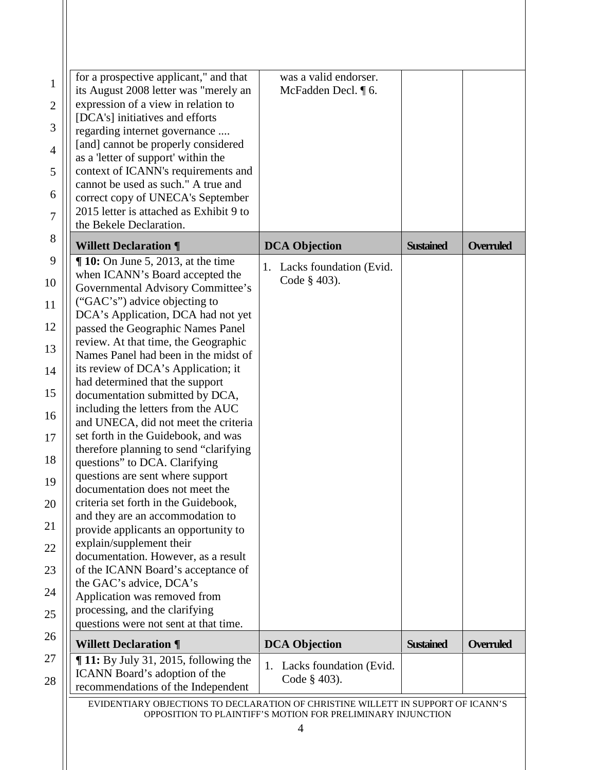| for a prospective applicant," and that<br>its August 2008 letter was "merely an<br>expression of a view in relation to<br>[DCA's] initiatives and efforts<br>regarding internet governance<br>[and] cannot be properly considered<br>as a 'letter of support' within the<br>context of ICANN's requirements and<br>cannot be used as such." A true and<br>correct copy of UNECA's September<br>2015 letter is attached as Exhibit 9 to<br>the Bekele Declaration.                                                                                                                                                                                                                                                                                                                                                                                                                                                                                                                                                                                                 | was a valid endorser.<br>McFadden Decl. ¶ 6.  |                  |                  |
|-------------------------------------------------------------------------------------------------------------------------------------------------------------------------------------------------------------------------------------------------------------------------------------------------------------------------------------------------------------------------------------------------------------------------------------------------------------------------------------------------------------------------------------------------------------------------------------------------------------------------------------------------------------------------------------------------------------------------------------------------------------------------------------------------------------------------------------------------------------------------------------------------------------------------------------------------------------------------------------------------------------------------------------------------------------------|-----------------------------------------------|------------------|------------------|
| <b>Willett Declaration ¶</b>                                                                                                                                                                                                                                                                                                                                                                                                                                                                                                                                                                                                                                                                                                                                                                                                                                                                                                                                                                                                                                      | <b>DCA Objection</b>                          | <b>Sustained</b> | <b>Overruled</b> |
| $\P$ 10: On June 5, 2013, at the time<br>when ICANN's Board accepted the<br>Governmental Advisory Committee's<br>("GAC's") advice objecting to<br>DCA's Application, DCA had not yet<br>passed the Geographic Names Panel<br>review. At that time, the Geographic<br>Names Panel had been in the midst of<br>its review of DCA's Application; it<br>had determined that the support<br>documentation submitted by DCA,<br>including the letters from the AUC<br>and UNECA, did not meet the criteria<br>set forth in the Guidebook, and was<br>therefore planning to send "clarifying"<br>questions" to DCA. Clarifying<br>questions are sent where support<br>documentation does not meet the<br>criteria set forth in the Guidebook,<br>and they are an accommodation to<br>provide applicants an opportunity to<br>explain/supplement their<br>documentation. However, as a result<br>of the ICANN Board's acceptance of<br>the GAC's advice, DCA's<br>Application was removed from<br>processing, and the clarifying<br>questions were not sent at that time. | 1. Lacks foundation (Evid.<br>Code $\S$ 403). |                  |                  |
| <b>Willett Declaration ¶</b>                                                                                                                                                                                                                                                                                                                                                                                                                                                                                                                                                                                                                                                                                                                                                                                                                                                                                                                                                                                                                                      | <b>DCA Objection</b>                          | <b>Sustained</b> | <b>Overruled</b> |
| $\P$ 11: By July 31, 2015, following the<br>ICANN Board's adoption of the<br>recommendations of the Independent                                                                                                                                                                                                                                                                                                                                                                                                                                                                                                                                                                                                                                                                                                                                                                                                                                                                                                                                                   | Lacks foundation (Evid.<br>1.<br>Code § 403). |                  |                  |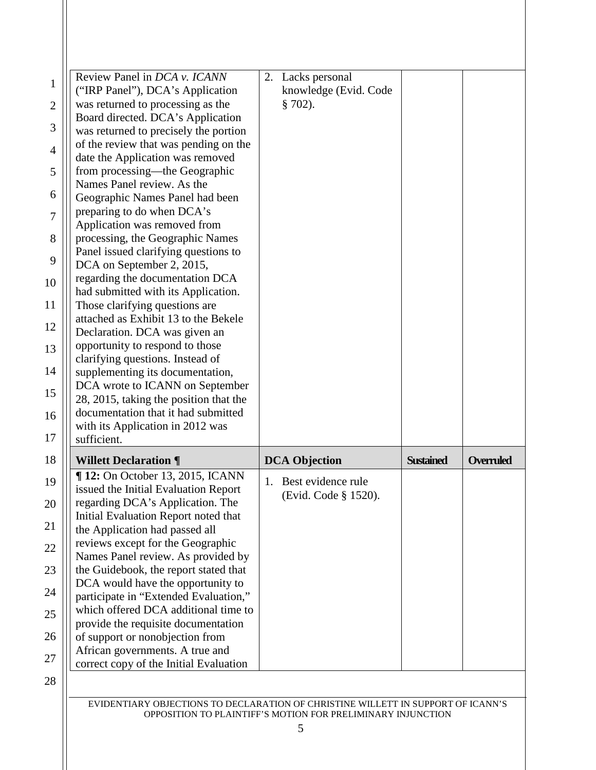| Review Panel in DCA v. ICANN<br>("IRP Panel"), DCA's Application<br>was returned to processing as the | Lacks personal<br>2.<br>knowledge (Evid. Code<br>$$702$ ). |                  |           |
|-------------------------------------------------------------------------------------------------------|------------------------------------------------------------|------------------|-----------|
| Board directed. DCA's Application<br>was returned to precisely the portion                            |                                                            |                  |           |
| of the review that was pending on the                                                                 |                                                            |                  |           |
| date the Application was removed<br>from processing—the Geographic                                    |                                                            |                  |           |
| Names Panel review. As the                                                                            |                                                            |                  |           |
| Geographic Names Panel had been                                                                       |                                                            |                  |           |
| preparing to do when DCA's<br>Application was removed from                                            |                                                            |                  |           |
| processing, the Geographic Names                                                                      |                                                            |                  |           |
| Panel issued clarifying questions to                                                                  |                                                            |                  |           |
| DCA on September 2, 2015,                                                                             |                                                            |                  |           |
| regarding the documentation DCA<br>had submitted with its Application.                                |                                                            |                  |           |
| Those clarifying questions are                                                                        |                                                            |                  |           |
| attached as Exhibit 13 to the Bekele                                                                  |                                                            |                  |           |
| Declaration. DCA was given an<br>opportunity to respond to those                                      |                                                            |                  |           |
| clarifying questions. Instead of                                                                      |                                                            |                  |           |
| supplementing its documentation,                                                                      |                                                            |                  |           |
| DCA wrote to ICANN on September<br>28, 2015, taking the position that the                             |                                                            |                  |           |
| documentation that it had submitted                                                                   |                                                            |                  |           |
| with its Application in 2012 was                                                                      |                                                            |                  |           |
| sufficient.                                                                                           |                                                            |                  |           |
| <b>Willett Declaration ¶</b>                                                                          | <b>DCA Objection</b>                                       | <b>Sustained</b> | Overruled |
| ¶ 12: On October 13, 2015, ICANN<br>issued the Initial Evaluation Report                              | 1.<br>Best evidence rule                                   |                  |           |
| regarding DCA's Application. The                                                                      | (Evid. Code § 1520).                                       |                  |           |
| Initial Evaluation Report noted that                                                                  |                                                            |                  |           |
| the Application had passed all                                                                        |                                                            |                  |           |
| reviews except for the Geographic<br>Names Panel review. As provided by                               |                                                            |                  |           |
| the Guidebook, the report stated that                                                                 |                                                            |                  |           |
| DCA would have the opportunity to                                                                     |                                                            |                  |           |
| participate in "Extended Evaluation,"<br>which offered DCA additional time to                         |                                                            |                  |           |
| provide the requisite documentation                                                                   |                                                            |                  |           |
| of support or nonobjection from                                                                       |                                                            |                  |           |
|                                                                                                       |                                                            |                  |           |
| African governments. A true and<br>correct copy of the Initial Evaluation                             |                                                            |                  |           |

OPPOSITION TO PLAINTIFF'S MOTION FOR PRELIMINARY INJUNCTION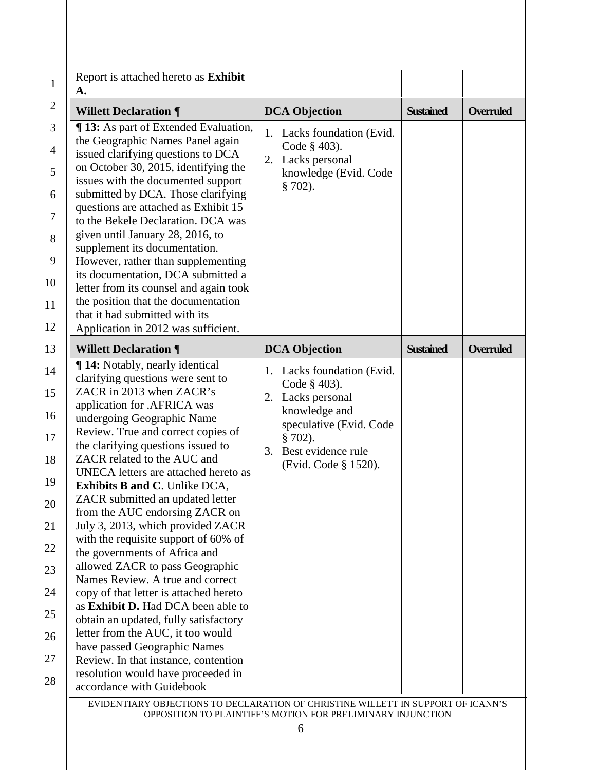| Report is attached hereto as Exhibit<br>А.                                 |                               |                  |                  |
|----------------------------------------------------------------------------|-------------------------------|------------------|------------------|
| <b>Willett Declaration ¶</b>                                               | <b>DCA Objection</b>          | <b>Sustained</b> | <b>Overruled</b> |
| ¶ 13: As part of Extended Evaluation,                                      | Lacks foundation (Evid.<br>1. |                  |                  |
| the Geographic Names Panel again                                           | Code § 403).                  |                  |                  |
| issued clarifying questions to DCA<br>on October 30, 2015, identifying the | 2. Lacks personal             |                  |                  |
| issues with the documented support                                         | knowledge (Evid. Code         |                  |                  |
| submitted by DCA. Those clarifying                                         | $$702$ ).                     |                  |                  |
| questions are attached as Exhibit 15                                       |                               |                  |                  |
| to the Bekele Declaration. DCA was                                         |                               |                  |                  |
| given until January 28, 2016, to                                           |                               |                  |                  |
| supplement its documentation.                                              |                               |                  |                  |
| However, rather than supplementing                                         |                               |                  |                  |
| its documentation, DCA submitted a                                         |                               |                  |                  |
| letter from its counsel and again took                                     |                               |                  |                  |
| the position that the documentation                                        |                               |                  |                  |
| that it had submitted with its                                             |                               |                  |                  |
| Application in 2012 was sufficient.                                        |                               |                  |                  |
| <b>Willett Declaration ¶</b>                                               | <b>DCA Objection</b>          | <b>Sustained</b> | <b>Overruled</b> |
| ¶ 14: Notably, nearly identical                                            | 1. Lacks foundation (Evid.    |                  |                  |
| clarifying questions were sent to                                          | Code § 403).                  |                  |                  |
| ZACR in 2013 when ZACR's                                                   | 2. Lacks personal             |                  |                  |
| application for .AFRICA was                                                |                               |                  |                  |
|                                                                            | knowledge and                 |                  |                  |
| undergoing Geographic Name                                                 | speculative (Evid. Code       |                  |                  |
| Review. True and correct copies of                                         | $§ 702$ ).                    |                  |                  |
| the clarifying questions issued to                                         | Best evidence rule<br>3.      |                  |                  |
| ZACR related to the AUC and<br>UNECA letters are attached hereto as        | (Evid. Code § 1520).          |                  |                  |
| <b>Exhibits B and C. Unlike DCA,</b>                                       |                               |                  |                  |
| ZACR submitted an updated letter                                           |                               |                  |                  |
| from the AUC endorsing ZACR on                                             |                               |                  |                  |
| July 3, 2013, which provided ZACR                                          |                               |                  |                  |
| with the requisite support of 60% of                                       |                               |                  |                  |
| the governments of Africa and                                              |                               |                  |                  |
| allowed ZACR to pass Geographic                                            |                               |                  |                  |
| Names Review. A true and correct                                           |                               |                  |                  |
| copy of that letter is attached hereto                                     |                               |                  |                  |
| as Exhibit D. Had DCA been able to                                         |                               |                  |                  |
| obtain an updated, fully satisfactory                                      |                               |                  |                  |
| letter from the AUC, it too would                                          |                               |                  |                  |
| have passed Geographic Names<br>Review. In that instance, contention       |                               |                  |                  |
| resolution would have proceeded in                                         |                               |                  |                  |

6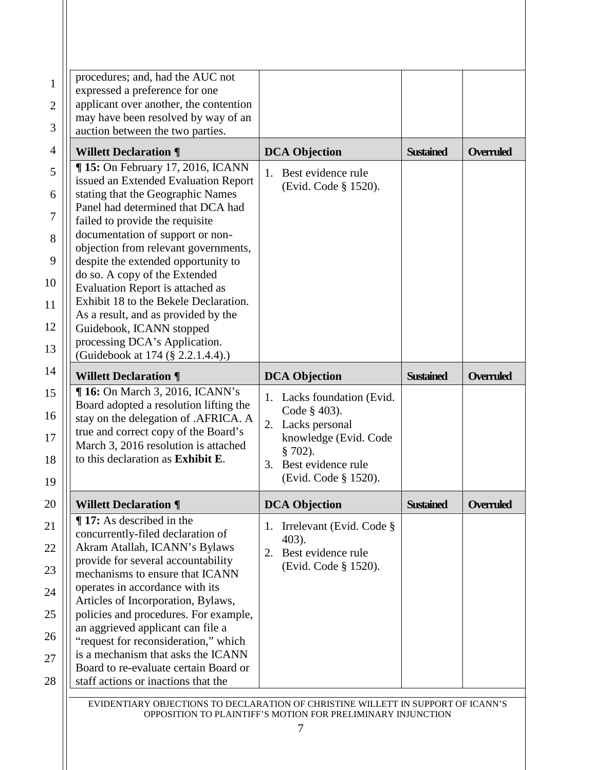| <b>DCA Objection</b>                                                                                                                                          | <b>Sustained</b>     | <b>Overruled</b> |
|---------------------------------------------------------------------------------------------------------------------------------------------------------------|----------------------|------------------|
| 1.<br>Best evidence rule                                                                                                                                      |                      |                  |
|                                                                                                                                                               |                      |                  |
|                                                                                                                                                               |                      |                  |
|                                                                                                                                                               |                      |                  |
|                                                                                                                                                               |                      |                  |
|                                                                                                                                                               |                      |                  |
|                                                                                                                                                               |                      |                  |
| <b>DCA Objection</b>                                                                                                                                          | <b>Sustained</b>     | <b>Overruled</b> |
| 1. Lacks foundation (Evid.<br>Code § 403).<br>Lacks personal<br>2.<br>knowledge (Evid. Code<br>$§ 702$ ).<br>3.<br>Best evidence rule<br>(Evid. Code § 1520). |                      |                  |
| <b>DCA Objection</b>                                                                                                                                          | <b>Sustained</b>     | <b>Overruled</b> |
|                                                                                                                                                               |                      |                  |
|                                                                                                                                                               | (Evid. Code § 1520). |                  |

EVIDENTIARY OBJECTIONS TO DECLARATION OF CHRISTINE WILLETT IN SUPPORT OF ICANN'S OPPOSITION TO PLAINTIFF'S MOTION FOR PRELIMINARY INJUNCTION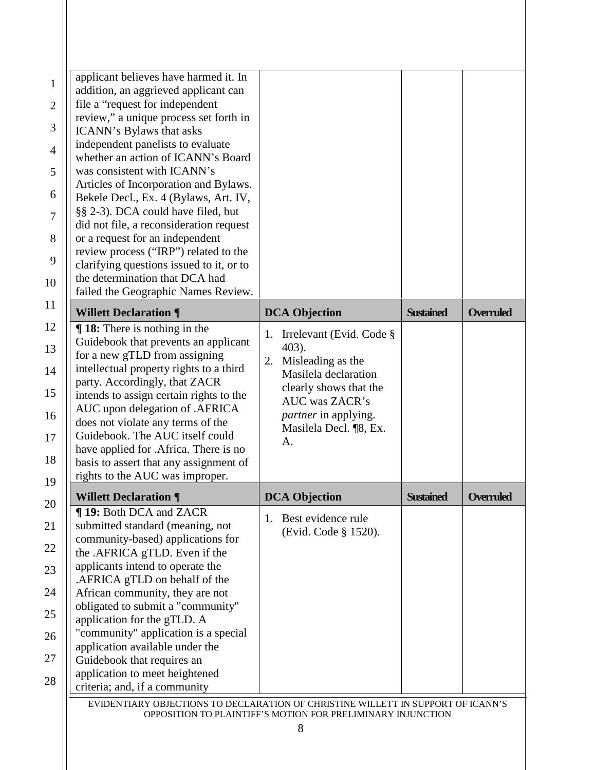| applicant believes have harmed it. In<br>addition, an aggrieved applicant can |                                |                  |                  |
|-------------------------------------------------------------------------------|--------------------------------|------------------|------------------|
| file a "request for independent                                               |                                |                  |                  |
| review," a unique process set forth in                                        |                                |                  |                  |
| ICANN's Bylaws that asks                                                      |                                |                  |                  |
| independent panelists to evaluate                                             |                                |                  |                  |
| whether an action of ICANN's Board                                            |                                |                  |                  |
| was consistent with ICANN's                                                   |                                |                  |                  |
| Articles of Incorporation and Bylaws.                                         |                                |                  |                  |
| Bekele Decl., Ex. 4 (Bylaws, Art. IV,                                         |                                |                  |                  |
| §§ 2-3). DCA could have filed, but                                            |                                |                  |                  |
| did not file, a reconsideration request                                       |                                |                  |                  |
| or a request for an independent                                               |                                |                  |                  |
| review process ("IRP") related to the                                         |                                |                  |                  |
| clarifying questions issued to it, or to                                      |                                |                  |                  |
| the determination that DCA had                                                |                                |                  |                  |
| failed the Geographic Names Review.                                           |                                |                  |                  |
| <b>Willett Declaration ¶</b>                                                  | <b>DCA Objection</b>           | <b>Sustained</b> | <b>Overruled</b> |
| $\P$ 18: There is nothing in the                                              |                                |                  |                  |
| Guidebook that prevents an applicant                                          | Irrelevant (Evid. Code §<br>1. |                  |                  |
| for a new gTLD from assigning                                                 | 403).                          |                  |                  |
| intellectual property rights to a third                                       | Misleading as the<br>2.        |                  |                  |
| party. Accordingly, that ZACR                                                 | Masilela declaration           |                  |                  |
| intends to assign certain rights to the                                       | clearly shows that the         |                  |                  |
| AUC upon delegation of .AFRICA                                                | <b>AUC</b> was ZACR's          |                  |                  |
| does not violate any terms of the                                             | <i>partner</i> in applying.    |                  |                  |
| Guidebook. The AUC itself could                                               | Masilela Decl. ¶8, Ex.         |                  |                  |
| have applied for .Africa. There is no                                         | A.                             |                  |                  |
| basis to assert that any assignment of                                        |                                |                  |                  |
| rights to the AUC was improper.                                               |                                |                  |                  |
| <b>Willett Declaration ¶</b>                                                  | <b>DCA Objection</b>           | <b>Sustained</b> | <b>Overruled</b> |
| <b>¶ 19: Both DCA and ZACR</b>                                                |                                |                  |                  |
| submitted standard (meaning, not                                              | Best evidence rule<br>1.       |                  |                  |
| community-based) applications for                                             | (Evid. Code § 1520).           |                  |                  |
| the .AFRICA gTLD. Even if the                                                 |                                |                  |                  |
| applicants intend to operate the                                              |                                |                  |                  |
| .AFRICA gTLD on behalf of the                                                 |                                |                  |                  |
| African community, they are not                                               |                                |                  |                  |
|                                                                               |                                |                  |                  |
|                                                                               |                                |                  |                  |
|                                                                               |                                |                  |                  |
| obligated to submit a "community"<br>application for the gTLD. A              |                                |                  |                  |
|                                                                               |                                |                  |                  |
| "community" application is a special<br>application available under the       |                                |                  |                  |
| Guidebook that requires an                                                    |                                |                  |                  |
| application to meet heightened<br>criteria; and, if a community               |                                |                  |                  |

OPPOSITION TO PLAINTIFF'S MOTION FOR PRELIMINARY INJUNCTION